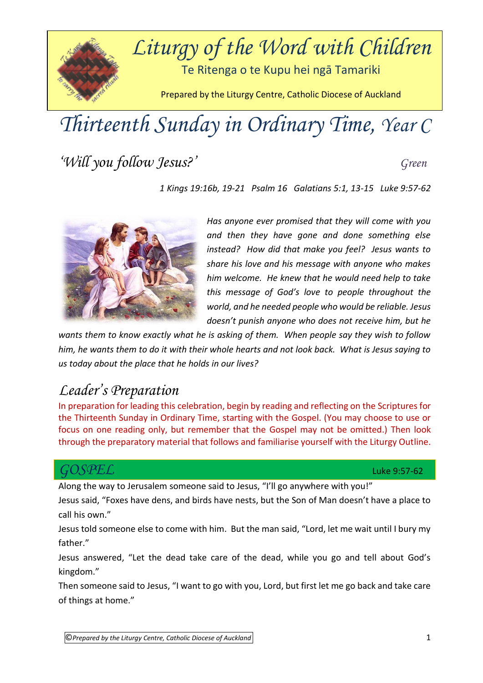

# *Thirteenth Sunday in Ordinary Time, Year C*

*'Will you follow Jesus?' Green*

*1 Kings 19:16b, 19-21 Psalm 16 Galatians 5:1, 13-15 Luke 9:57-62*



*Has anyone ever promised that they will come with you and then they have gone and done something else instead? How did that make you feel? Jesus wants to share his love and his message with anyone who makes him welcome. He knew that he would need help to take this message of God's love to people throughout the world, and he needed people who would be reliable. Jesus doesn't punish anyone who does not receive him, but he* 

*wants them to know exactly what he is asking of them. When people say they wish to follow him, he wants them to do it with their whole hearts and not look back. What is Jesus saying to us today about the place that he holds in our lives?*

## *Leader's Preparation*

In preparation for leading this celebration, begin by reading and reflecting on the Scriptures for the Thirteenth Sunday in Ordinary Time, starting with the Gospel. (You may choose to use or focus on one reading only, but remember that the Gospel may not be omitted.) Then look through the preparatory material that follows and familiarise yourself with the Liturgy Outline.

#### *GOSPEL* Luke 9:57-62

Along the way to Jerusalem someone said to Jesus, "I'll go anywhere with you!"

Jesus said, "Foxes have dens, and birds have nests, but the Son of Man doesn't have a place to call his own."

Jesus told someone else to come with him. But the man said, "Lord, let me wait until I bury my father."

Jesus answered, "Let the dead take care of the dead, while you go and tell about God's kingdom."

Then someone said to Jesus, "I want to go with you, Lord, but first let me go back and take care of things at home."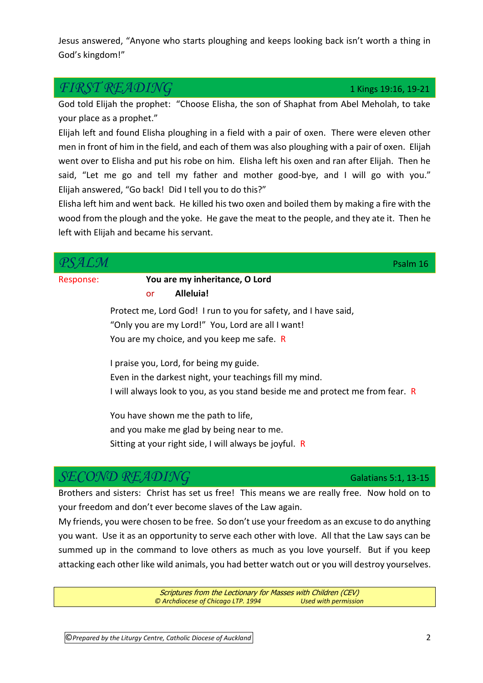Jesus answered, "Anyone who starts ploughing and keeps looking back isn't worth a thing in God's kingdom!"

#### $\widehat{FIRST}$   $\widehat{READING}$  1 Kings 19:16, 19-21

God told Elijah the prophet: "Choose Elisha, the son of Shaphat from Abel Meholah, to take your place as a prophet."

Elijah left and found Elisha ploughing in a field with a pair of oxen. There were eleven other men in front of him in the field, and each of them was also ploughing with a pair of oxen. Elijah went over to Elisha and put his robe on him. Elisha left his oxen and ran after Elijah. Then he said, "Let me go and tell my father and mother good-bye, and I will go with you." Elijah answered, "Go back! Did I tell you to do this?"

Elisha left him and went back. He killed his two oxen and boiled them by making a fire with the wood from the plough and the yoke. He gave the meat to the people, and they ate it. Then he left with Elijah and became his servant.

|           |                                                                               | Psalm 16             |
|-----------|-------------------------------------------------------------------------------|----------------------|
| Response: | You are my inheritance, O Lord                                                |                      |
|           | Alleluia!<br>or                                                               |                      |
|           | Protect me, Lord God! I run to you for safety, and I have said,               |                      |
|           | "Only you are my Lord!" You, Lord are all I want!                             |                      |
|           | You are my choice, and you keep me safe. R                                    |                      |
|           | I praise you, Lord, for being my guide.                                       |                      |
|           | Even in the darkest night, your teachings fill my mind.                       |                      |
|           | I will always look to you, as you stand beside me and protect me from fear. R |                      |
|           | You have shown me the path to life,                                           |                      |
|           | and you make me glad by being near to me.                                     |                      |
|           | Sitting at your right side, I will always be joyful. R                        |                      |
|           |                                                                               |                      |
|           |                                                                               | Galatians 5:1, 13-15 |

Brothers and sisters: Christ has set us free! This means we are really free. Now hold on to your freedom and don't ever become slaves of the Law again.

My friends, you were chosen to be free. So don't use your freedom as an excuse to do anything you want. Use it as an opportunity to serve each other with love. All that the Law says can be summed up in the command to love others as much as you love yourself. But if you keep attacking each other like wild animals, you had better watch out or you will destroy yourselves.

> Scriptures from the Lectionary for Masses with Children (CEV) *© Archdiocese of Chicago LTP. 1994 Used with permission*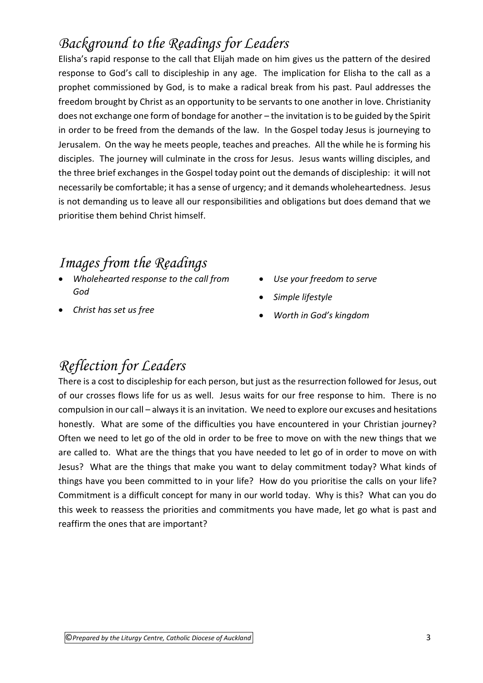# *Background to the Readings for Leaders*

Elisha's rapid response to the call that Elijah made on him gives us the pattern of the desired response to God's call to discipleship in any age. The implication for Elisha to the call as a prophet commissioned by God, is to make a radical break from his past. Paul addresses the freedom brought by Christ as an opportunity to be servants to one another in love. Christianity does not exchange one form of bondage for another – the invitation is to be guided by the Spirit in order to be freed from the demands of the law. In the Gospel today Jesus is journeying to Jerusalem. On the way he meets people, teaches and preaches. All the while he is forming his disciples. The journey will culminate in the cross for Jesus. Jesus wants willing disciples, and the three brief exchanges in the Gospel today point out the demands of discipleship: it will not necessarily be comfortable; it has a sense of urgency; and it demands wholeheartedness. Jesus is not demanding us to leave all our responsibilities and obligations but does demand that we prioritise them behind Christ himself.

#### *Images from the Readings*

- *Wholehearted response to the call from God*
- *Christ has set us free*
- *Use your freedom to serve*
- *Simple lifestyle*
- *Worth in God's kingdom*

## *Reflection for Leaders*

There is a cost to discipleship for each person, but just as the resurrection followed for Jesus, out of our crosses flows life for us as well. Jesus waits for our free response to him. There is no compulsion in our call – always it is an invitation. We need to explore our excuses and hesitations honestly. What are some of the difficulties you have encountered in your Christian journey? Often we need to let go of the old in order to be free to move on with the new things that we are called to. What are the things that you have needed to let go of in order to move on with Jesus? What are the things that make you want to delay commitment today? What kinds of things have you been committed to in your life? How do you prioritise the calls on your life? Commitment is a difficult concept for many in our world today. Why is this? What can you do this week to reassess the priorities and commitments you have made, let go what is past and reaffirm the ones that are important?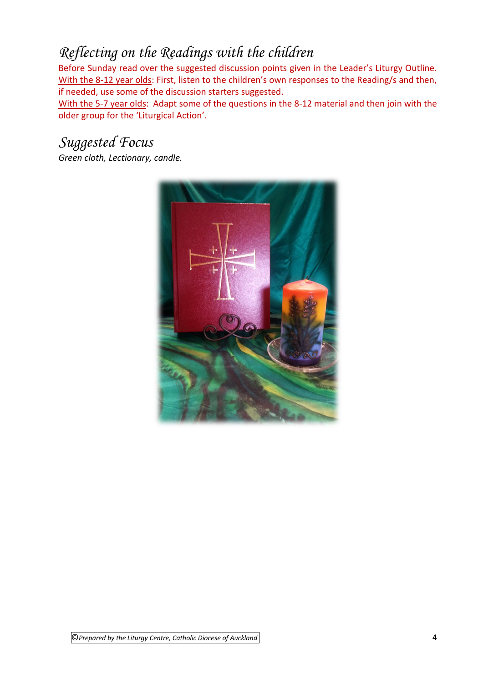# *Reflecting on the Readings with the children*

Before Sunday read over the suggested discussion points given in the Leader's Liturgy Outline. With the 8-12 year olds: First, listen to the children's own responses to the Reading/s and then, if needed, use some of the discussion starters suggested.

With the 5-7 year olds: Adapt some of the questions in the 8-12 material and then join with the older group for the 'Liturgical Action'*.* 

### *Suggested Focus*

*Green cloth, Lectionary, candle.*

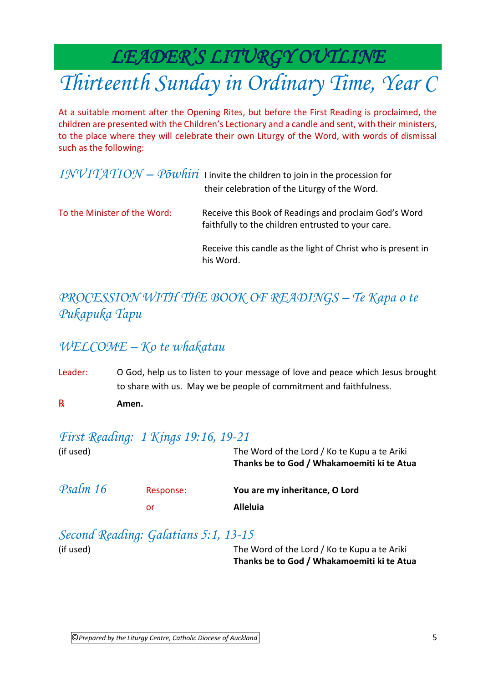*LEADER'S LITURGY OUTLINE* 

# *Thirteenth Sunday in Ordinary Time, Year C*

At a suitable moment after the Opening Rites, but before the First Reading is proclaimed, the children are presented with the Children's Lectionary and a candle and sent, with their ministers, to the place where they will celebrate their own Liturgy of the Word, with words of dismissal such as the following:

|                              | $INVITATION - P\overline{o}whiri$ I invite the children to join in the procession for<br>their celebration of the Liturgy of the Word. |
|------------------------------|----------------------------------------------------------------------------------------------------------------------------------------|
| To the Minister of the Word: | Receive this Book of Readings and proclaim God's Word<br>faithfully to the children entrusted to your care.                            |
|                              | Receive this candle as the light of Christ who is present in<br>his Word.                                                              |

### *PROCESSION WITH THE BOOK OF READINGS – Te Kapa o te Pukapuka Tapu*

#### *WELCOME – Ko te whakatau*

Leader: O God, help us to listen to your message of love and peace which Jesus brought to share with us. May we be people of commitment and faithfulness. ℞ **Amen.**

#### *First Reading: 1 Kings 19:16, 19-21*

| (if used) |           | The Word of the Lord / Ko te Kupu a te Ariki<br>Thanks be to God / Whakamoemiti ki te Atua |
|-----------|-----------|--------------------------------------------------------------------------------------------|
| Psalm 16  | Response: | You are my inheritance, O Lord                                                             |
|           | or        | <b>Alleluia</b>                                                                            |

| Second Reading: Galatians 5:1, 13-15 |       |
|--------------------------------------|-------|
| (if used)                            | The V |

Vord of the Lord / Ko te Kupu a te Ariki **Thanks be to God / Whakamoemiti ki te Atua**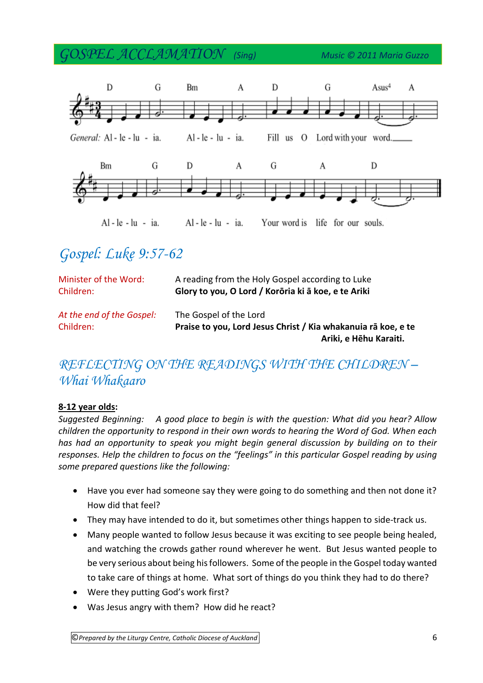*GOSPEL ACCLAMATION (Sing) Music © 2011 Maria Guzzo*



# *Gospel: Luke 9:57-62*

| Minister of the Word:                  | A reading from the Holy Gospel according to Luke                                                                  |
|----------------------------------------|-------------------------------------------------------------------------------------------------------------------|
| Children:                              | Glory to you, O Lord / Korōria ki ā koe, e te Ariki                                                               |
| At the end of the Gospel:<br>Children: | The Gospel of the Lord<br>Praise to you, Lord Jesus Christ / Kia whakanuja rā koe, e te<br>Ariki, e Hēhu Karaiti. |

#### *REFLECTING ON THE READINGS WITH THE CHILDREN – Whai Whakaaro*

#### **8-12 year olds:**

*Suggested Beginning: A good place to begin is with the question: What did you hear? Allow children the opportunity to respond in their own words to hearing the Word of God. When each has had an opportunity to speak you might begin general discussion by building on to their responses. Help the children to focus on the "feelings" in this particular Gospel reading by using some prepared questions like the following:* 

- Have you ever had someone say they were going to do something and then not done it? How did that feel?
- They may have intended to do it, but sometimes other things happen to side-track us.
- Many people wanted to follow Jesus because it was exciting to see people being healed, and watching the crowds gather round wherever he went. But Jesus wanted people to be very serious about being his followers. Some of the people in the Gospel today wanted to take care of things at home. What sort of things do you think they had to do there?
- Were they putting God's work first?
- Was Jesus angry with them? How did he react?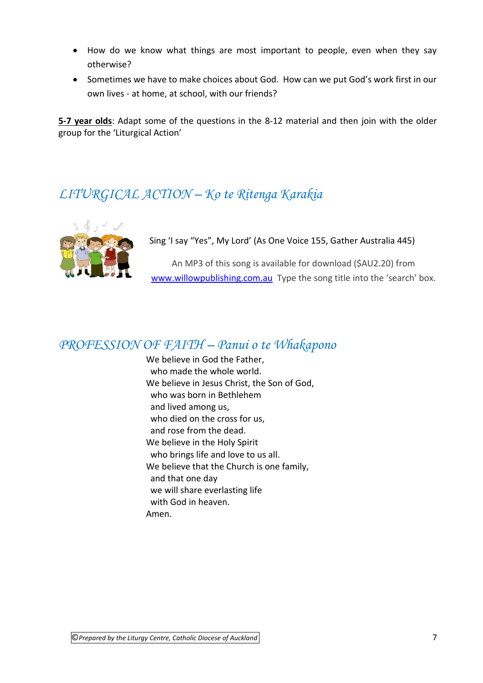- How do we know what things are most important to people, even when they say otherwise?
- Sometimes we have to make choices about God. How can we put God's work first in our own lives - at home, at school, with our friends?

**5-7 year olds**: Adapt some of the questions in the 8-12 material and then join with the older group for the 'Liturgical Action'

### *LITURGICAL ACTION – Ko te Ritenga Karakia*



Sing 'I say "Yes", My Lord' (As One Voice 155, Gather Australia 445)

An MP3 of this song is available for download (\$AU2.20) from [www.willowpublishing.com.au](http://www.willowpublishing.com.au/) Type the song title into the 'search' box.

#### *PROFESSION OF FAITH – Panui o te Whakapono*

We believe in God the Father, who made the whole world. We believe in Jesus Christ, the Son of God, who was born in Bethlehem and lived among us, who died on the cross for us, and rose from the dead. We believe in the Holy Spirit who brings life and love to us all. We believe that the Church is one family, and that one day we will share everlasting life with God in heaven. Amen.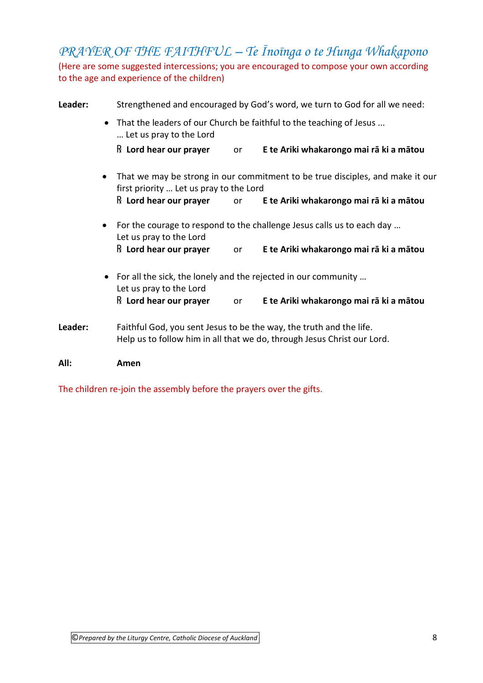*PRAYER OF THE FAITHFUL – Te Īnoīnga o te Hunga Whakapono* (Here are some suggested intercessions; you are encouraged to compose your own according to the age and experience of the children)

| Leader: |                                                                                                             | Strengthened and encouraged by God's word, we turn to God for all we need:                                               |           |                                                                                                                                                |  |
|---------|-------------------------------------------------------------------------------------------------------------|--------------------------------------------------------------------------------------------------------------------------|-----------|------------------------------------------------------------------------------------------------------------------------------------------------|--|
|         | That the leaders of our Church be faithful to the teaching of Jesus<br>$\bullet$<br>Let us pray to the Lord |                                                                                                                          |           |                                                                                                                                                |  |
|         |                                                                                                             | $\mathbb R$ Lord hear our prayer                                                                                         | <b>or</b> | E te Ariki whakarongo mai rā ki a mātou                                                                                                        |  |
|         | $\bullet$                                                                                                   | That we may be strong in our commitment to be true disciples, and make it our<br>first priority  Let us pray to the Lord |           |                                                                                                                                                |  |
|         |                                                                                                             | $\mathbb R$ Lord hear our prayer                                                                                         | or        | E te Ariki whakarongo mai rā ki a mātou                                                                                                        |  |
|         | $\bullet$                                                                                                   | Let us pray to the Lord                                                                                                  |           | For the courage to respond to the challenge Jesus calls us to each day                                                                         |  |
|         |                                                                                                             | $\mathbb R$ Lord hear our prayer                                                                                         | <b>or</b> | E te Ariki whakarongo mai rā ki a mātou                                                                                                        |  |
|         |                                                                                                             | For all the sick, the lonely and the rejected in our community<br>$\bullet$<br>Let us pray to the Lord                   |           |                                                                                                                                                |  |
|         |                                                                                                             | $\mathbb R$ Lord hear our prayer                                                                                         | or        | E te Ariki whakarongo mai rā ki a mātou                                                                                                        |  |
| Leader: |                                                                                                             |                                                                                                                          |           | Faithful God, you sent Jesus to be the way, the truth and the life.<br>Help us to follow him in all that we do, through Jesus Christ our Lord. |  |

#### **All: Amen**

The children re-join the assembly before the prayers over the gifts.